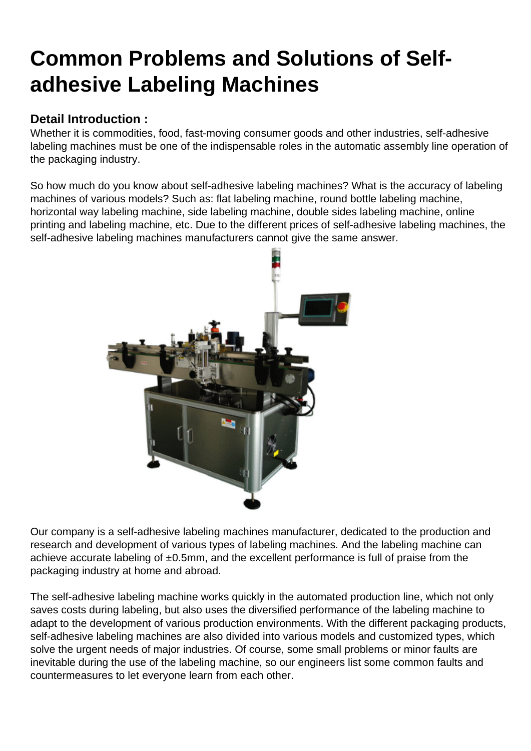## [Common Problems and Solutions of Self](https://hanyipack.com/common-problems-and-solutions-of-self-adhesive-labeling-machines/)adhesive Labeling Machines

Detail Introduction :

Whether it is commodities, food, fast-moving consumer goods and other industries, self-adhesive labeling machines must be one of the indispensable roles in the automatic assembly line operation of the packaging industry.

So how much do you know about self-adhesive labeling machines? What is the accuracy of labeling machines of various models? Such as: flat labeling machine, round bottle labeling machine, horizontal way labeling machine, side labeling machine, double sides labeling machine, online printing and labeling machine, etc. Due to the different prices of self-adhesive labeling machines, the self-adhesive labeling machines manufacturers cannot give the same answer.

Our company is a self-adhesive labeling machines manufacturer, dedicated to the production and research and development of various types of labeling machines. And the labeling machine can achieve accurate labeling of  $\pm 0.5$ mm, and the excellent performance is full of praise from the packaging industry at home and abroad.

The self-adhesive labeling machine works quickly in the automated production line, which not only saves costs during labeling, but also uses the diversified performance of the labeling machine to adapt to the development of various production environments. With the different packaging products, self-adhesive labeling machines are also divided into various models and customized types, which solve the urgent needs of major industries. Of course, some small problems or minor faults are inevitable during the use of the labeling machine, so our engineers list some common faults and countermeasures to let everyone learn from each other.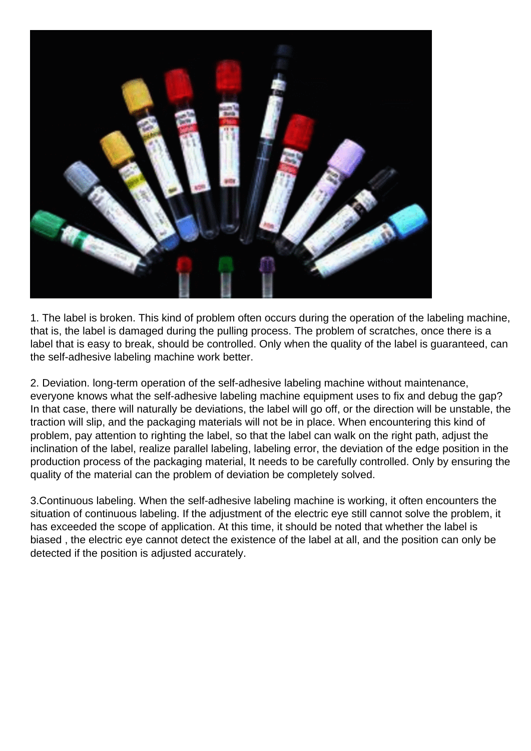

1. The label is broken. This kind of problem often occurs during the operation of the labeling machine, that is, the label is damaged during the pulling process. The problem of scratches, once there is a label that is easy to break, should be controlled. Only when the quality of the label is guaranteed, can the self-adhesive labeling machine work better.

2. Deviation. long-term operation of the self-adhesive labeling machine without maintenance, everyone knows what the self-adhesive labeling machine equipment uses to fix and debug the gap? In that case, there will naturally be deviations, the label will go off, or the direction will be unstable, the traction will slip, and the packaging materials will not be in place. When encountering this kind of problem, pay attention to righting the label, so that the label can walk on the right path, adjust the inclination of the label, realize parallel labeling, labeling error, the deviation of the edge position in the production process of the packaging material, It needs to be carefully controlled. Only by ensuring the quality of the material can the problem of deviation be completely solved.

3.Continuous labeling. When the self-adhesive labeling machine is working, it often encounters the situation of continuous labeling. If the adjustment of the electric eye still cannot solve the problem, it has exceeded the scope of application. At this time, it should be noted that whether the label is biased , the electric eye cannot detect the existence of the label at all, and the position can only be detected if the position is adjusted accurately.